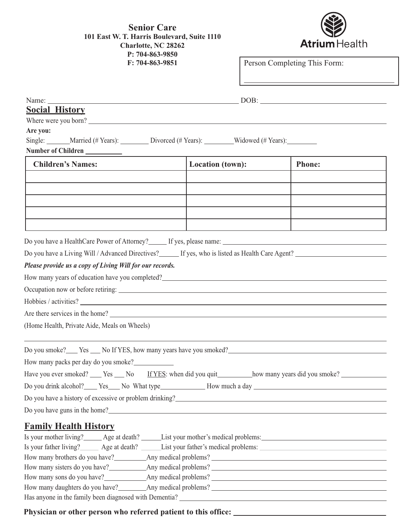

| Name: $\_\_$                                                                                                                                          |                  | $\overline{\text{DOB}}$ : |
|-------------------------------------------------------------------------------------------------------------------------------------------------------|------------------|---------------------------|
| <b>Social History</b>                                                                                                                                 |                  |                           |
| Where were you born?                                                                                                                                  |                  |                           |
| Are you:                                                                                                                                              |                  |                           |
| Single: _______Married (# Years): __________Divorced (# Years): ________Widowed (# Years): ________                                                   |                  |                           |
| Number of Children                                                                                                                                    |                  |                           |
| <b>Children's Names:</b>                                                                                                                              | Location (town): | <b>Phone:</b>             |
|                                                                                                                                                       |                  |                           |
|                                                                                                                                                       |                  |                           |
|                                                                                                                                                       |                  |                           |
|                                                                                                                                                       |                  |                           |
|                                                                                                                                                       |                  |                           |
|                                                                                                                                                       |                  |                           |
| Do you have a HealthCare Power of Attorney?<br><u>Fyes, please name:</u><br><u>Fyes, please name:</u>                                                 |                  |                           |
|                                                                                                                                                       |                  |                           |
| Please provide us a copy of Living Will for our records.                                                                                              |                  |                           |
| How many years of education have you completed?<br>The many years of education have you completed?<br>The many years of education have you completed? |                  |                           |
|                                                                                                                                                       |                  |                           |
|                                                                                                                                                       |                  |                           |
|                                                                                                                                                       |                  |                           |
| Are there services in the home?                                                                                                                       |                  |                           |
| (Home Health, Private Aide, Meals on Wheels)                                                                                                          |                  |                           |
| Do you smoke? Yes No If YES, how many years have you smoked?                                                                                          |                  |                           |
| How many packs per day do you smoke?                                                                                                                  |                  |                           |
| Have you ever smoked? ___ Yes ___ No If YES: when did you quit_________ how many years did you smoke? ________                                        |                  |                           |
| Do you drink alcohol? Ses No What type No What type Now much a day                                                                                    |                  |                           |
| Do you have a history of excessive or problem drinking?                                                                                               |                  |                           |
| Do you have guns in the home?                                                                                                                         |                  |                           |
|                                                                                                                                                       |                  |                           |
| <b>Family Health History</b>                                                                                                                          |                  |                           |
| Is your mother living? Age at death? List your mother's medical problems: List your mother's medical problems:                                        |                  |                           |
| Is your father living?<br><u>Age at death?</u> List your father's medical problems:<br><u>List your father's medical problems:</u>                    |                  |                           |
|                                                                                                                                                       |                  |                           |
|                                                                                                                                                       |                  |                           |
|                                                                                                                                                       |                  |                           |
|                                                                                                                                                       |                  |                           |

Has anyone in the family been diagnosed with Dementia?

**Physician or other person who referred patient to this office:**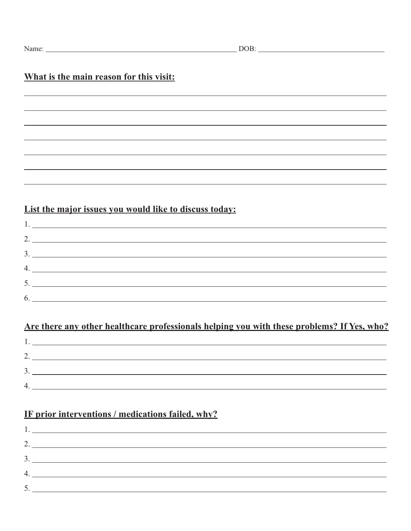# **What is the main reason for this visit:**

# **List the major issues you would like to discuss today:**

| 1. |
|----|
| 2. |
|    |
| 4. |
|    |
|    |
|    |

# **Are there any other healthcare professionals helping you with these problems? If Yes, who?**

| $\sqrt{2}$ |  |
|------------|--|
| ◠<br>. ب   |  |
| ↵          |  |
|            |  |

# **IF prior interventions / medications failed, why?**

|    | 1.                                                                                                                    |
|----|-----------------------------------------------------------------------------------------------------------------------|
|    | 2.                                                                                                                    |
|    | $\mathfrak{I}$ .                                                                                                      |
| 4. | <u> 1980 - Johann Barbara, martin amerikan ba</u>                                                                     |
|    | <u> 1989 - Andrea Albert III, martin a bhaile an t-ainm an t-ainm an t-ainm an t-ainm an t-ainm an t-ainm an t-ai</u> |
|    |                                                                                                                       |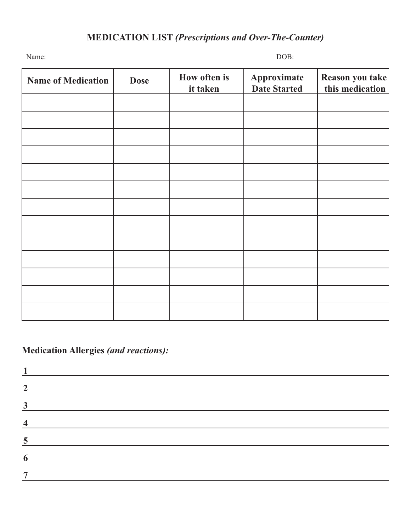| <b>Name of Medication</b> | <b>Dose</b> | How often is<br>it taken | Approximate<br><b>Date Started</b> | Reason you take<br>this medication |
|---------------------------|-------------|--------------------------|------------------------------------|------------------------------------|
|                           |             |                          |                                    |                                    |
|                           |             |                          |                                    |                                    |
|                           |             |                          |                                    |                                    |
|                           |             |                          |                                    |                                    |
|                           |             |                          |                                    |                                    |
|                           |             |                          |                                    |                                    |
|                           |             |                          |                                    |                                    |
|                           |             |                          |                                    |                                    |
|                           |             |                          |                                    |                                    |
|                           |             |                          |                                    |                                    |
|                           |             |                          |                                    |                                    |
|                           |             |                          |                                    |                                    |
|                           |             |                          |                                    |                                    |

**Medication Allergies** *(and reactions):*

| <u> 1989 - Johann Barn, mars ann an t-Amhainn an t-Amhainn an t-Amhainn an t-Amhainn an t-Amhainn an t-Amhainn an</u> |                                         |  |  |
|-----------------------------------------------------------------------------------------------------------------------|-----------------------------------------|--|--|
|                                                                                                                       | <u> 1999 - Johann Barbara, martin a</u> |  |  |
| <u> 1989 - Johann Barbara, martin d</u>                                                                               |                                         |  |  |
|                                                                                                                       |                                         |  |  |
|                                                                                                                       |                                         |  |  |
|                                                                                                                       |                                         |  |  |
|                                                                                                                       |                                         |  |  |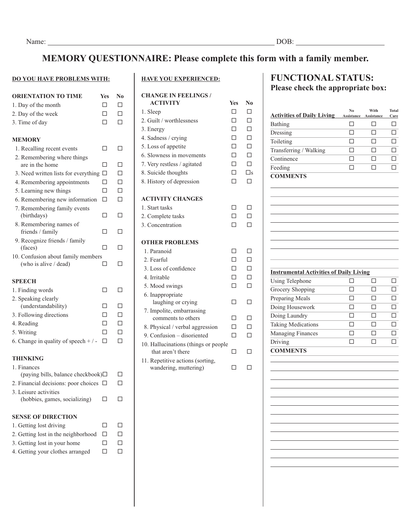# **MEMORY QUESTIONNAIRE: Please complete this form with a family member.**

#### **DO YOU HAVE PROBLEMS WITH:**

| <b>ORIENTATION TO TIME</b>                                  | Yes | No     |
|-------------------------------------------------------------|-----|--------|
| 1. Day of the month                                         | п   | □      |
| 2. Day of the week                                          | п   | П      |
| 3. Time of day                                              | П   | П      |
|                                                             |     |        |
| <b>MEMORY</b>                                               |     |        |
| 1. Recalling recent events                                  | п   | П      |
| 2. Remembering where things<br>are in the home              | □   | □      |
| 3. Need written lists for everything                        | □   | $\Box$ |
| 4. Remembering appointments                                 | п   | П      |
| 5. Learning new things                                      | П   | $\Box$ |
| 6. Remembering new information                              | П   | $\Box$ |
| 7. Remembering family events                                |     |        |
| (birthdays)                                                 | П   | □      |
| 8. Remembering names of                                     |     |        |
| friends / family                                            | П   | П      |
| 9. Recognize friends / family                               |     |        |
| (faces)                                                     | П   | П      |
| 10. Confusion about family members<br>(who is alive / dead) | П   | П      |
|                                                             |     |        |
| <b>SPEECH</b>                                               |     |        |
| 1. Finding words                                            | п   | П      |
| 2. Speaking clearly                                         |     |        |
| (understandability)                                         | П   | □      |
| 3. Following directions                                     | п   | П      |
| 4. Reading                                                  | п   | $\Box$ |
| 5. Writing                                                  | п   | $\Box$ |
| 6. Change in quality of speech $+/-$                        | п   | П      |
| THINKING                                                    |     |        |
| 1. Finances                                                 |     |        |
| (paying bills, balance checkbook) $\Box$                    |     | П      |
| 2. Financial decisions: poor choices $\Box$                 |     |        |
| 3. Leisure activities                                       |     |        |
| (hobbies, games, socializing)                               |     | П      |
| <b>SENSE OF DIRECTION</b>                                   |     |        |
| 1. Getting lost driving                                     | П   | П      |
| 2. Getting lost in the neighborhood                         | п   | □      |
| 3. Getting lost in your home                                | п   | □      |
| 4. Getting your clothes arranged                            | п   | п      |
|                                                             |     |        |

### **HAVE YOU EXPERIENCED:**

| <b>CHANGE IN FEELINGS/</b>                                |            |             |
|-----------------------------------------------------------|------------|-------------|
| <b>ACTIVITY</b>                                           | <b>Yes</b> | N0          |
| 1. Sleep                                                  | п          | п           |
| 2. Guilt / worthlessness                                  | П          | □           |
| 3. Energy                                                 | П          | $\Box$      |
| 4. Sadness / crying                                       | П          | П           |
| 5. Loss of appetite                                       | $\Box$     | $\Box$      |
| 6. Slowness in movements                                  | п          | П           |
| 7. Very restless / agitated                               | п          | П           |
| 8. Suicide thoughts                                       | П          | $\square$ s |
| 8. History of depression                                  | П          | п           |
| <b>ACTIVITY CHANGES</b>                                   |            |             |
| 1. Start tasks                                            | П          |             |
| 2. Complete tasks                                         | п          | п           |
| 3. Concentration                                          | п          |             |
| <b>OTHER PROBLEMS</b>                                     |            |             |
| 1. Paranoid                                               | П          | П           |
| 2. Fearful                                                | П          | □           |
| 3. Loss of confidence                                     | П          | $\Box$      |
| 4. Irritable                                              | п          | П           |
| 5. Mood swings                                            | П          | п           |
| 6. Inappropriate<br>laughing or crying                    | П          | П           |
| 7. Impolite, embarrassing                                 |            |             |
| comments to others                                        | п          | п           |
| 8. Physical / verbal aggression                           | п          | П           |
| 9. Confusion - disoriented                                | п          | п           |
| 10. Hallucinations (things or people<br>that aren't there | П          |             |
| 11. Repetitive actions (sorting,<br>wandering, muttering) | П          | п           |

## **FUNCTIONAL STATUS: Please check the appropriate box:**

| <b>Activities of Daily Living</b>              | Assistance | Assistance | Care |
|------------------------------------------------|------------|------------|------|
| Bathing                                        | п          | П          | П    |
| Dressing                                       | П          | П          |      |
| Toileting                                      | П          |            |      |
| Transferring / Walking                         | П          |            |      |
| Continence                                     |            |            |      |
| Feeding                                        |            |            |      |
| <b>COMMENTS</b>                                |            |            |      |
|                                                |            |            |      |
|                                                |            |            |      |
|                                                |            |            |      |
|                                                |            |            |      |
|                                                |            |            |      |
|                                                |            |            |      |
|                                                |            |            |      |
| <b>Instrumental Activities of Daily Living</b> |            |            |      |
| <b>Using Telephone</b>                         | П          | П          |      |
| Grocery Shopping                               | П          | П          |      |
| Preparing Meals                                | П          |            |      |
| Doing Housework                                | П          |            |      |
| Doing Laundry                                  |            |            |      |
| <b>Taking Medications</b>                      |            |            |      |
| <b>Managing Finances</b>                       | П          | п          |      |
| Driving                                        | П          |            |      |

<u> 1980 - Johann Barbara, martxa alemaniar a</u>

<u> 1980 - Johann Barbara, martxa alemaniar a</u> <u> 1989 - Johann Barn, mars ann an t-Amhain Aonaich an t-Aonaich an t-Aonaich an t-Aonaich an t-Aonaich an t-Aon</u>